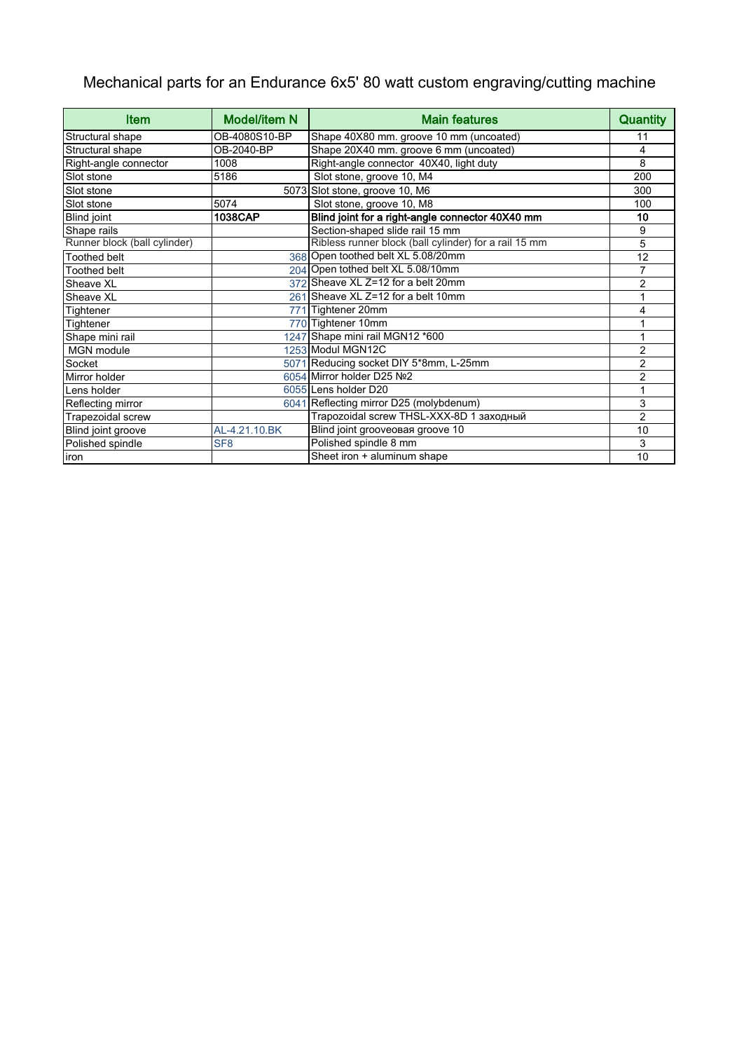## Mechanical parts for an Endurance 6x5' 80 watt custom engraving/cutting machine

| <b>Item</b>                  | <b>Model/item N</b> | <b>Main features</b>                                  | <b>Quantity</b> |
|------------------------------|---------------------|-------------------------------------------------------|-----------------|
| Structural shape             | OB-4080S10-BP       | Shape 40X80 mm. groove 10 mm (uncoated)               | 11              |
| Structural shape             | OB-2040-BP          | Shape 20X40 mm. groove 6 mm (uncoated)                | 4               |
| Right-angle connector        | 1008                | Right-angle connector 40X40, light duty               | 8               |
| Slot stone                   | 5186                | Slot stone, groove 10, M4                             | 200             |
| Slot stone                   |                     | 5073 Slot stone, groove 10, M6                        | 300             |
| Slot stone                   | 5074                | Slot stone, groove 10, M8                             | 100             |
| <b>Blind joint</b>           | 1038CAP             | Blind joint for a right-angle connector 40X40 mm      | 10              |
| Shape rails                  |                     | Section-shaped slide rail 15 mm                       | 9               |
| Runner block (ball cylinder) |                     | Ribless runner block (ball cylinder) for a rail 15 mm | 5               |
| <b>Toothed belt</b>          |                     | 368 Open toothed belt XL 5.08/20mm                    | 12              |
| <b>Toothed belt</b>          |                     | 204 Open tothed belt XL 5.08/10mm                     | $\overline{7}$  |
| Sheave XL                    |                     | 372 Sheave XL Z=12 for a belt 20mm                    | 2               |
| Sheave XL                    |                     | 261 Sheave XL Z=12 for a belt 10mm                    | 1               |
| Tightener                    |                     | 771 Tightener 20mm                                    | 4               |
| Tightener                    |                     | 770 Tightener 10mm                                    |                 |
| Shape mini rail              |                     | 1247 Shape mini rail MGN12 *600                       | 1               |
| MGN module                   |                     | 1253 Modul MGN12C                                     | $\overline{2}$  |
| Socket                       |                     | 5071 Reducing socket DIY 5*8mm, L-25mm                | $\overline{2}$  |
| Mirror holder                |                     | 6054 Mirror holder D25 Nº2                            | $\overline{2}$  |
| Lens holder                  |                     | 6055 Lens holder D20                                  | 1               |
| Reflecting mirror            |                     | 6041 Reflecting mirror D25 (molybdenum)               | 3               |
| Trapezoidal screw            |                     | Trapozoidal screw THSL-XXX-8D 1 заходный              | $\overline{2}$  |
| Blind joint groove           | AL-4.21.10.BK       | Blind joint grooveo as groove 10                      | 10              |
| Polished spindle             | SF <sub>8</sub>     | Polished spindle 8 mm                                 | 3               |
| liron                        |                     | Sheet iron + aluminum shape                           | 10              |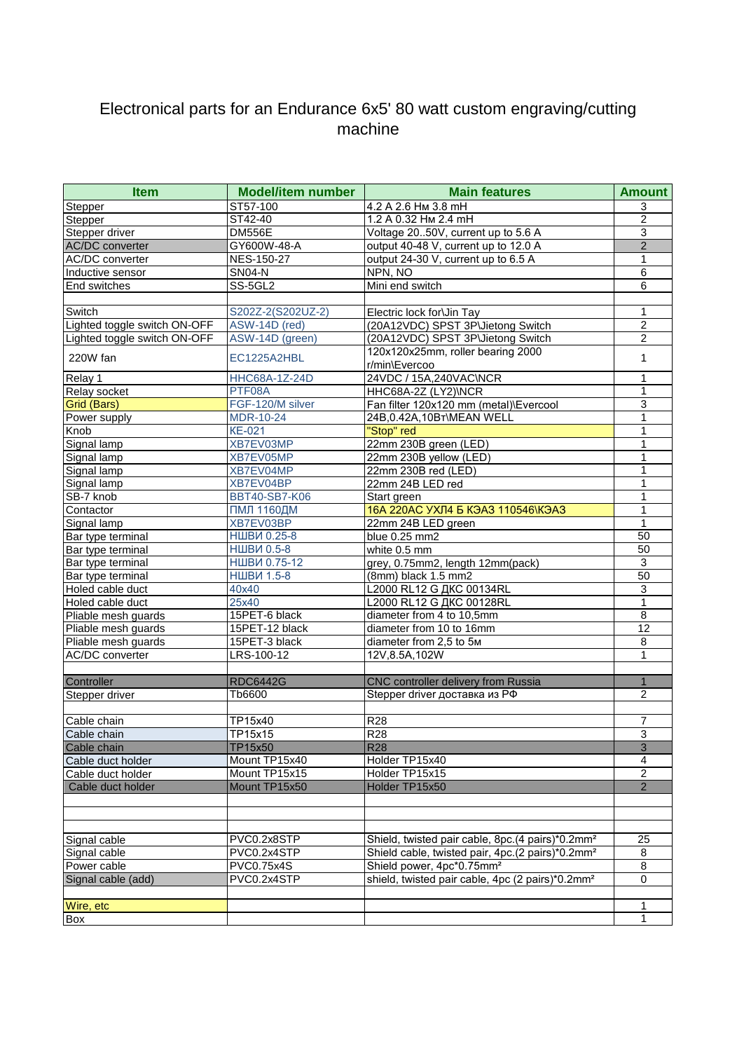## Electronical parts for an Endurance 6x5' 80 watt custom engraving/cutting machine

| Stepper<br>Stepper<br>Stepper driver<br><b>AC/DC</b> converter<br><b>AC/DC</b> converter<br>Inductive sensor<br>End switches<br>Switch<br>Lighted toggle switch ON-OFF<br>Lighted toggle switch ON-OFF | ST57-100<br>ST42-40<br><b>DM556E</b><br>GY600W-48-A<br>NES-150-27<br><b>SN04-N</b><br>SS-5GL2 | 4.2 A 2.6 Hm 3.8 mH<br>1.2 A 0.32 Hm 2.4 mH<br>Voltage 2050V, current up to 5.6 A<br>output 40-48 V, current up to 12.0 A<br>output 24-30 V, current up to 6.5 A<br>NPN, NO | 3<br>$\overline{2}$<br>$\sqrt{3}$<br>$\overline{2}$ |
|--------------------------------------------------------------------------------------------------------------------------------------------------------------------------------------------------------|-----------------------------------------------------------------------------------------------|-----------------------------------------------------------------------------------------------------------------------------------------------------------------------------|-----------------------------------------------------|
|                                                                                                                                                                                                        |                                                                                               |                                                                                                                                                                             |                                                     |
|                                                                                                                                                                                                        |                                                                                               |                                                                                                                                                                             |                                                     |
|                                                                                                                                                                                                        |                                                                                               |                                                                                                                                                                             |                                                     |
|                                                                                                                                                                                                        |                                                                                               |                                                                                                                                                                             |                                                     |
|                                                                                                                                                                                                        |                                                                                               |                                                                                                                                                                             | $\mathbf{1}$                                        |
|                                                                                                                                                                                                        |                                                                                               |                                                                                                                                                                             | 6                                                   |
|                                                                                                                                                                                                        |                                                                                               | Mini end switch                                                                                                                                                             | 6                                                   |
|                                                                                                                                                                                                        |                                                                                               |                                                                                                                                                                             |                                                     |
|                                                                                                                                                                                                        | S202Z-2(S202UZ-2)                                                                             | Electric lock for\Jin Tay                                                                                                                                                   | $\mathbf{1}$                                        |
|                                                                                                                                                                                                        | ASW-14D (red)                                                                                 | (20A12VDC) SPST 3P\Jietong Switch                                                                                                                                           | $\overline{2}$                                      |
|                                                                                                                                                                                                        | ASW-14D (green)                                                                               | (20A12VDC) SPST 3P\Jietong Switch                                                                                                                                           | $\overline{c}$                                      |
| 220W fan                                                                                                                                                                                               | EC1225A2HBL                                                                                   | 120x120x25mm, roller bearing 2000                                                                                                                                           | 1                                                   |
|                                                                                                                                                                                                        |                                                                                               | r/min\Evercoo                                                                                                                                                               |                                                     |
| Relay 1                                                                                                                                                                                                | <b>HHC68A-1Z-24D</b>                                                                          | 24VDC / 15A,240VAC\NCR                                                                                                                                                      | 1                                                   |
| Relay socket                                                                                                                                                                                           | PTF08A                                                                                        | HHC68A-2Z (LY2) NCR                                                                                                                                                         | 1                                                   |
| Grid (Bars)                                                                                                                                                                                            | FGF-120/M silver                                                                              | Fan filter 120x120 mm (metal)\Evercool                                                                                                                                      | 3                                                   |
| Power supply                                                                                                                                                                                           | MDR-10-24                                                                                     | 24B, 0.42A, 10BT\MEAN WELL                                                                                                                                                  | $\mathbf{1}$                                        |
| Knob                                                                                                                                                                                                   | <b>KE-021</b>                                                                                 | "Stop" red                                                                                                                                                                  | 1                                                   |
| Signal lamp                                                                                                                                                                                            | XB7EV03MP                                                                                     | 22mm 230B green (LED)                                                                                                                                                       | 1                                                   |
| Signal lamp                                                                                                                                                                                            | XB7EV05MP                                                                                     | 22mm 230B yellow (LED)                                                                                                                                                      | 1                                                   |
| Signal lamp                                                                                                                                                                                            | XB7EV04MP                                                                                     | 22mm 230B red (LED)                                                                                                                                                         | 1                                                   |
| Signal lamp                                                                                                                                                                                            | XB7EV04BP                                                                                     | 22mm 24B LED red                                                                                                                                                            | 1                                                   |
| SB-7 knob                                                                                                                                                                                              | <b>BBT40-SB7-K06</b>                                                                          | Start green                                                                                                                                                                 | 1                                                   |
| Contactor                                                                                                                                                                                              | <b>ПМЛ 1160ДМ</b>                                                                             | 16А 220АС УХЛ4 Б КЭАЗ 110546\КЭАЗ                                                                                                                                           | 1                                                   |
| Signal lamp                                                                                                                                                                                            | XB7EV03BP                                                                                     | 22mm 24B LED green                                                                                                                                                          | 1                                                   |
| Bar type terminal                                                                                                                                                                                      | <b>НШВИ 0.25-8</b>                                                                            | blue 0.25 mm2                                                                                                                                                               | 50                                                  |
| Bar type terminal                                                                                                                                                                                      | <b>НШВИ 0.5-8</b>                                                                             | white 0.5 mm                                                                                                                                                                | 50                                                  |
| Bar type terminal                                                                                                                                                                                      | <b>НШВИ 0.75-12</b>                                                                           | grey, 0.75mm2, length 12mm(pack)                                                                                                                                            | $\overline{3}$                                      |
| Bar type terminal                                                                                                                                                                                      | <b>НШВИ 1.5-8</b>                                                                             | (8mm) black 1.5 mm2                                                                                                                                                         | 50                                                  |
| Holed cable duct                                                                                                                                                                                       | 40x40                                                                                         | L2000 RL12 G AKC 00134RL                                                                                                                                                    | $\overline{3}$                                      |
| Holed cable duct                                                                                                                                                                                       | 25x40                                                                                         | L2000 RL12 G AKC 00128RL                                                                                                                                                    | $\mathbf{1}$                                        |
| Pliable mesh guards                                                                                                                                                                                    | 15PET-6 black                                                                                 | diameter from 4 to 10,5mm                                                                                                                                                   | 8                                                   |
| Pliable mesh guards                                                                                                                                                                                    | 15PET-12 black                                                                                | diameter from 10 to 16mm                                                                                                                                                    | 12                                                  |
|                                                                                                                                                                                                        |                                                                                               |                                                                                                                                                                             | 8                                                   |
| Pliable mesh guards                                                                                                                                                                                    | 15PET-3 black<br>LRS-100-12                                                                   | diameter from 2,5 to 5M                                                                                                                                                     | 1                                                   |
| AC/DC converter                                                                                                                                                                                        |                                                                                               | 12V,8.5A,102W                                                                                                                                                               |                                                     |
| Controller                                                                                                                                                                                             | <b>RDC6442G</b>                                                                               | CNC controller delivery from Russia                                                                                                                                         | $\mathbf{1}$                                        |
| Stepper driver                                                                                                                                                                                         | Tb6600                                                                                        | Stepper driver доставка из РФ                                                                                                                                               | $\overline{2}$                                      |
|                                                                                                                                                                                                        |                                                                                               |                                                                                                                                                                             |                                                     |
| Cable chain                                                                                                                                                                                            | TP15x40                                                                                       | R28                                                                                                                                                                         | 7                                                   |
| Cable chain                                                                                                                                                                                            | TP15x15                                                                                       | R28                                                                                                                                                                         | $\overline{3}$                                      |
| Cable chain                                                                                                                                                                                            | TP15x50                                                                                       | <b>R28</b>                                                                                                                                                                  | 3                                                   |
| Cable duct holder                                                                                                                                                                                      | Mount TP15x40                                                                                 | Holder TP15x40                                                                                                                                                              | 4                                                   |
| Cable duct holder                                                                                                                                                                                      | Mount TP15x15                                                                                 | Holder TP15x15                                                                                                                                                              |                                                     |
|                                                                                                                                                                                                        |                                                                                               |                                                                                                                                                                             | 2<br>$\overline{2}$                                 |
| Cable duct holder                                                                                                                                                                                      | Mount TP15x50                                                                                 | Holder TP15x50                                                                                                                                                              |                                                     |
| Signal cable                                                                                                                                                                                           | PVC0.2x8STP                                                                                   | Shield, twisted pair cable, 8pc.(4 pairs)*0.2mm <sup>2</sup>                                                                                                                | 25                                                  |
|                                                                                                                                                                                                        | PVC0.2x4STP                                                                                   |                                                                                                                                                                             | 8                                                   |
| Signal cable                                                                                                                                                                                           |                                                                                               | Shield cable, twisted pair, 4pc.(2 pairs)*0.2mm <sup>2</sup>                                                                                                                | $\overline{8}$                                      |
| Power cable                                                                                                                                                                                            | <b>PVC0.75x4S</b><br>PVC0.2x4STP                                                              | Shield power, 4pc*0.75mm <sup>2</sup><br>shield, twisted pair cable, 4pc (2 pairs)*0.2mm <sup>2</sup>                                                                       |                                                     |
| Signal cable (add)                                                                                                                                                                                     |                                                                                               |                                                                                                                                                                             | 0                                                   |
|                                                                                                                                                                                                        |                                                                                               |                                                                                                                                                                             | 1                                                   |
| Wire, etc<br>Box                                                                                                                                                                                       |                                                                                               |                                                                                                                                                                             | 1                                                   |